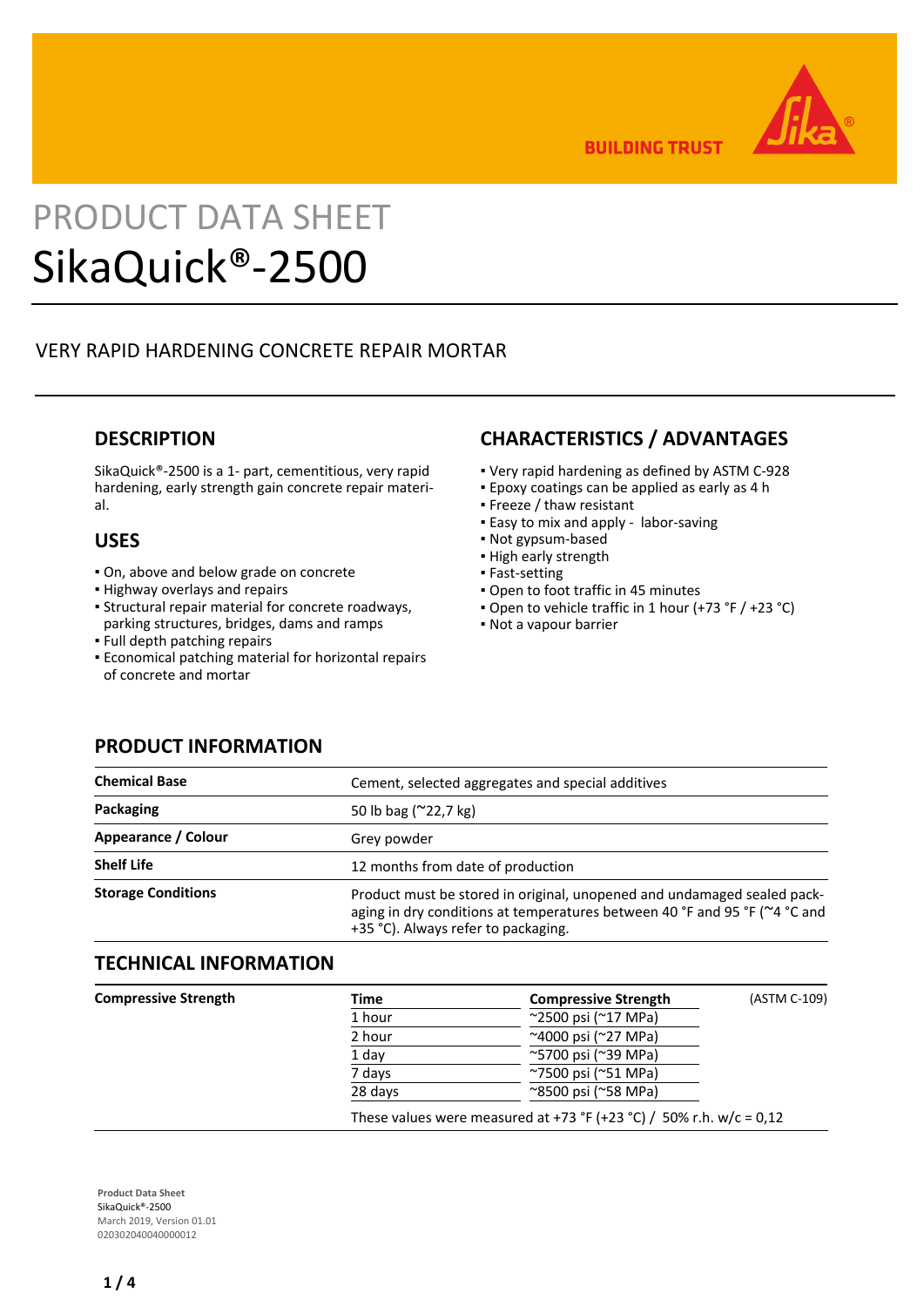

**BUILDING TRUST** 

# PRODUCT DATA SHEET SikaQuick®-2500

## VERY RAPID HARDENING CONCRETE REPAIR MORTAR

## **DESCRIPTION**

SikaQuick®-2500 is a 1- part, cementitious, very rapid hardening, early strength gain concrete repair material.

## **USES**

- On, above and below grade on concrete
- Highway overlays and repairs
- Structural repair material for concrete roadways, parking structures, bridges, dams and ramps
- Full depth patching repairs
- **Economical patching material for horizontal repairs** of concrete and mortar

## **CHARACTERISTICS / ADVANTAGES**

- Very rapid hardening as defined by ASTM C-928
- Epoxy coatings can be applied as early as 4 h
- Freeze / thaw resistant
- **Easy to mix and apply labor-saving**
- Not gypsum-based
- **· High early strength**
- **Fast-setting**
- Open to foot traffic in 45 minutes
- Open to vehicle traffic in 1 hour (+73 °F / +23 °C)
- Not a vapour barrier

## **PRODUCT INFORMATION**

| <b>Chemical Base</b>      | Cement, selected aggregates and special additives                                                                                                                                            |  |
|---------------------------|----------------------------------------------------------------------------------------------------------------------------------------------------------------------------------------------|--|
| Packaging                 | 50 lb bag $(^{\sim}22.7 \text{ kg})$                                                                                                                                                         |  |
| Appearance / Colour       | Grey powder                                                                                                                                                                                  |  |
| <b>Shelf Life</b>         | 12 months from date of production                                                                                                                                                            |  |
| <b>Storage Conditions</b> | Product must be stored in original, unopened and undamaged sealed pack-<br>aging in dry conditions at temperatures between 40 °F and 95 °F (~4 °C and<br>+35 °C). Always refer to packaging. |  |

## **TECHNICAL INFORMATION**

| <b>Compressive Strength</b> | Time    | <b>Compressive Strength</b>                                         | (ASTM C-109) |
|-----------------------------|---------|---------------------------------------------------------------------|--------------|
|                             | 1 hour  | ~2500 psi (~17 MPa)                                                 |              |
|                             | 2 hour  | ~4000 psi (~27 MPa)                                                 |              |
|                             | 1 day   | ~5700 psi (~39 MPa)                                                 |              |
|                             | 7 days  | ~7500 psi (~51 MPa)                                                 |              |
|                             | 28 days | $^{\sim}8500$ psi ( $^{\sim}58$ MPa)                                |              |
|                             |         | These values were measured at +73 °F (+23 °C) / 50% r.h. w/c = 0,12 |              |

**Product Data Sheet** SikaQuick®-2500 March 2019, Version 01.01 020302040040000012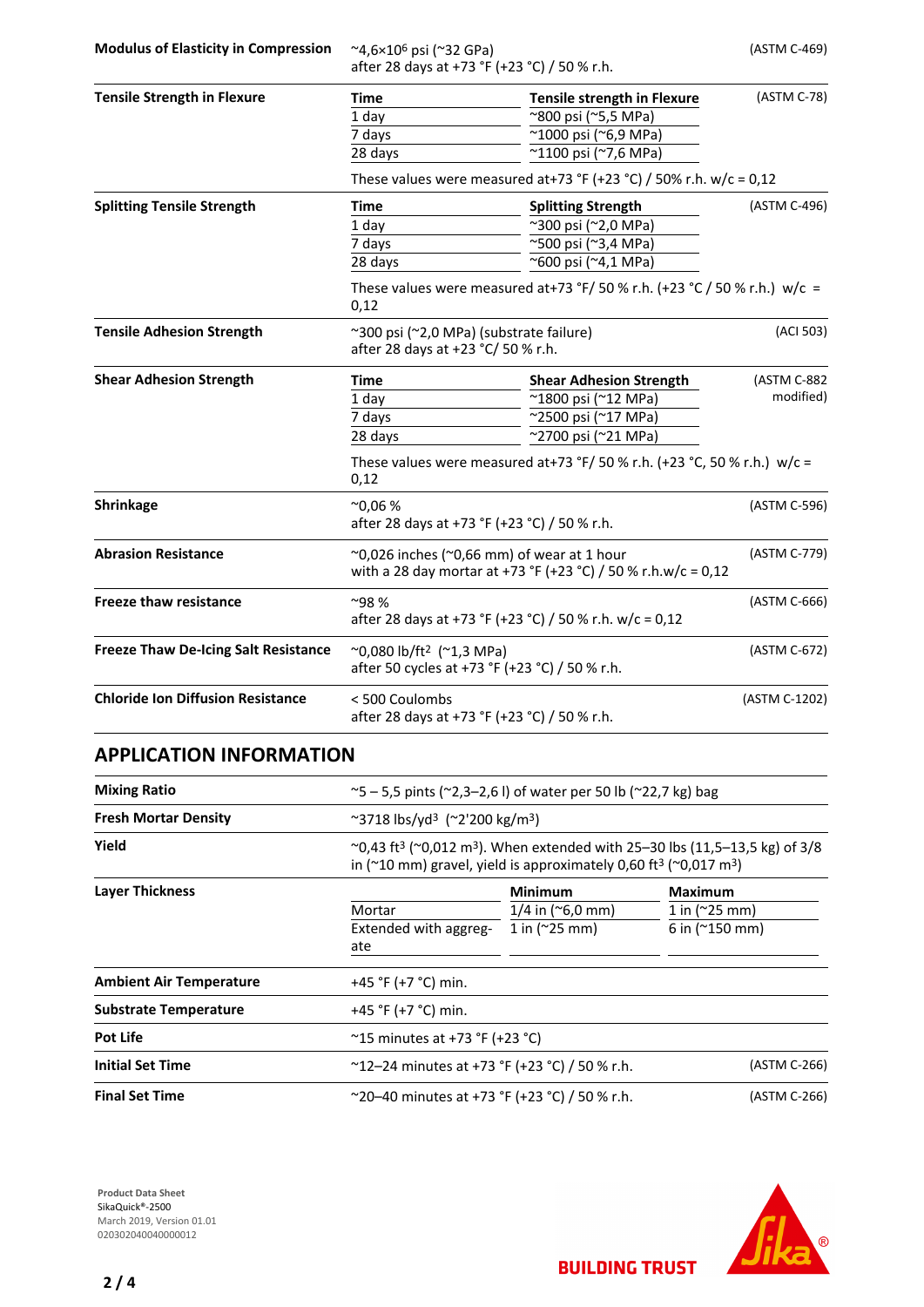**Modulus of Elasticity in Compression** ~4,6×10<sup>6</sup> psi (~32 GPa)

after 28 days at +73 °F (+23 °C) / 50 % r.h.

(ASTM C-469)

| <b>Tensile Strength in Flexure</b>          | <b>Time</b>                                                                                                              | <b>Tensile strength in Flexure</b>                                        | (ASTM C-78)              |  |
|---------------------------------------------|--------------------------------------------------------------------------------------------------------------------------|---------------------------------------------------------------------------|--------------------------|--|
|                                             | 1 day                                                                                                                    | ~800 psi (~5,5 MPa)                                                       |                          |  |
|                                             | 7 days                                                                                                                   | $\sqrt{21000}$ psi (~6,9 MPa)                                             |                          |  |
|                                             | 28 days                                                                                                                  | ~1100 psi (~7,6 MPa)                                                      |                          |  |
|                                             | These values were measured at+73 °F (+23 °C) / 50% r.h. w/c = 0,12                                                       |                                                                           |                          |  |
| <b>Splitting Tensile Strength</b>           | <b>Time</b>                                                                                                              | <b>Splitting Strength</b>                                                 | (ASTM C-496)             |  |
|                                             | 1 day                                                                                                                    | ~300 psi (~2,0 MPa)                                                       |                          |  |
|                                             | 7 days                                                                                                                   | ~500 psi (~3,4 MPa)                                                       |                          |  |
|                                             | 28 days                                                                                                                  | ~600 psi (~4,1 MPa)                                                       |                          |  |
|                                             | 0,12                                                                                                                     | These values were measured at+73 °F/ 50 % r.h. (+23 °C / 50 % r.h.) w/c = |                          |  |
| <b>Tensile Adhesion Strength</b>            | ~300 psi (~2,0 MPa) (substrate failure)<br>after 28 days at +23 °C/ 50 % r.h.                                            |                                                                           | (ACI 503)                |  |
| <b>Shear Adhesion Strength</b>              | <b>Time</b>                                                                                                              | <b>Shear Adhesion Strength</b>                                            | (ASTM C-882<br>modified) |  |
|                                             | $1$ day                                                                                                                  | ~1800 psi (~12 MPa)                                                       |                          |  |
|                                             | 7 days                                                                                                                   | ~2500 psi (~17 MPa)                                                       |                          |  |
|                                             | 28 days                                                                                                                  | ~2700 psi (~21 MPa)                                                       |                          |  |
|                                             | These values were measured at+73 °F/ 50 % r.h. (+23 °C, 50 % r.h.) w/c =<br>0,12                                         |                                                                           |                          |  |
| <b>Shrinkage</b>                            | $^{\sim}0.06%$<br>after 28 days at +73 °F (+23 °C) / 50 % r.h.                                                           |                                                                           | (ASTM C-596)             |  |
| <b>Abrasion Resistance</b>                  | $\sim$ 0,026 inches ( $\sim$ 0,66 mm) of wear at 1 hour<br>with a 28 day mortar at +73 °F (+23 °C) / 50 % r.h.w/c = 0,12 |                                                                           | (ASTM C-779)             |  |
| <b>Freeze thaw resistance</b>               | ~98%<br>after 28 days at +73 °F (+23 °C) / 50 % r.h. w/c = 0,12                                                          |                                                                           | (ASTM C-666)             |  |
| <b>Freeze Thaw De-Icing Salt Resistance</b> | $^{\circ}$ 0,080 lb/ft <sup>2</sup> ( $^{\circ}$ 1,3 MPa)<br>after 50 cycles at +73 °F (+23 °C) / 50 % r.h.              |                                                                           | (ASTM C-672)             |  |
| <b>Chloride Ion Diffusion Resistance</b>    | <500 Coulombs<br>after 28 days at +73 °F (+23 °C) / 50 % r.h.                                                            |                                                                           | (ASTM C-1202)            |  |

## **APPLICATION INFORMATION**

| <b>Mixing Ratio</b>            |                                                                        | ~5 - 5,5 pints (~2,3-2,6 l) of water per 50 lb (~22,7 kg) bag                                                                                                                                                      |                     |  |  |
|--------------------------------|------------------------------------------------------------------------|--------------------------------------------------------------------------------------------------------------------------------------------------------------------------------------------------------------------|---------------------|--|--|
| <b>Fresh Mortar Density</b>    |                                                                        | $\sim$ 3718 lbs/yd <sup>3</sup> ( $\sim$ 2'200 kg/m <sup>3</sup> )                                                                                                                                                 |                     |  |  |
| Yield                          |                                                                        | ~0,43 ft <sup>3</sup> (~0,012 m <sup>3</sup> ). When extended with 25–30 lbs (11,5–13,5 kg) of 3/8<br>in ( $\approx$ 10 mm) gravel, yield is approximately 0,60 ft <sup>3</sup> ( $\approx$ 0,017 m <sup>3</sup> ) |                     |  |  |
| <b>Layer Thickness</b>         |                                                                        | <b>Minimum</b>                                                                                                                                                                                                     | <b>Maximum</b>      |  |  |
|                                | Mortar                                                                 | $1/4$ in ( $\degree$ 6,0 mm)                                                                                                                                                                                       | 1 in $(^{25}$ mm)   |  |  |
|                                | Extended with aggreg-<br>ate                                           | 1 in $(^{25}$ mm)                                                                                                                                                                                                  | 6 in $(^{2}150$ mm) |  |  |
| <b>Ambient Air Temperature</b> | +45 °F (+7 °C) min.                                                    |                                                                                                                                                                                                                    |                     |  |  |
| <b>Substrate Temperature</b>   | +45 °F (+7 °C) min.                                                    |                                                                                                                                                                                                                    |                     |  |  |
| <b>Pot Life</b>                | $^{\circ}$ 15 minutes at +73 °F (+23 °C)                               |                                                                                                                                                                                                                    |                     |  |  |
| <b>Initial Set Time</b>        | $^{\sim}$ 12-24 minutes at +73 °F (+23 °C) / 50 % r.h.<br>(ASTM C-266) |                                                                                                                                                                                                                    |                     |  |  |
| <b>Final Set Time</b>          | $\sim$ 20–40 minutes at +73 °F (+23 °C) / 50 % r.h.<br>(ASTM C-266)    |                                                                                                                                                                                                                    |                     |  |  |

**Product Data Sheet** SikaQuick®-2500 March 2019, Version 01.01 020302040040000012



**BUILDING TRUST**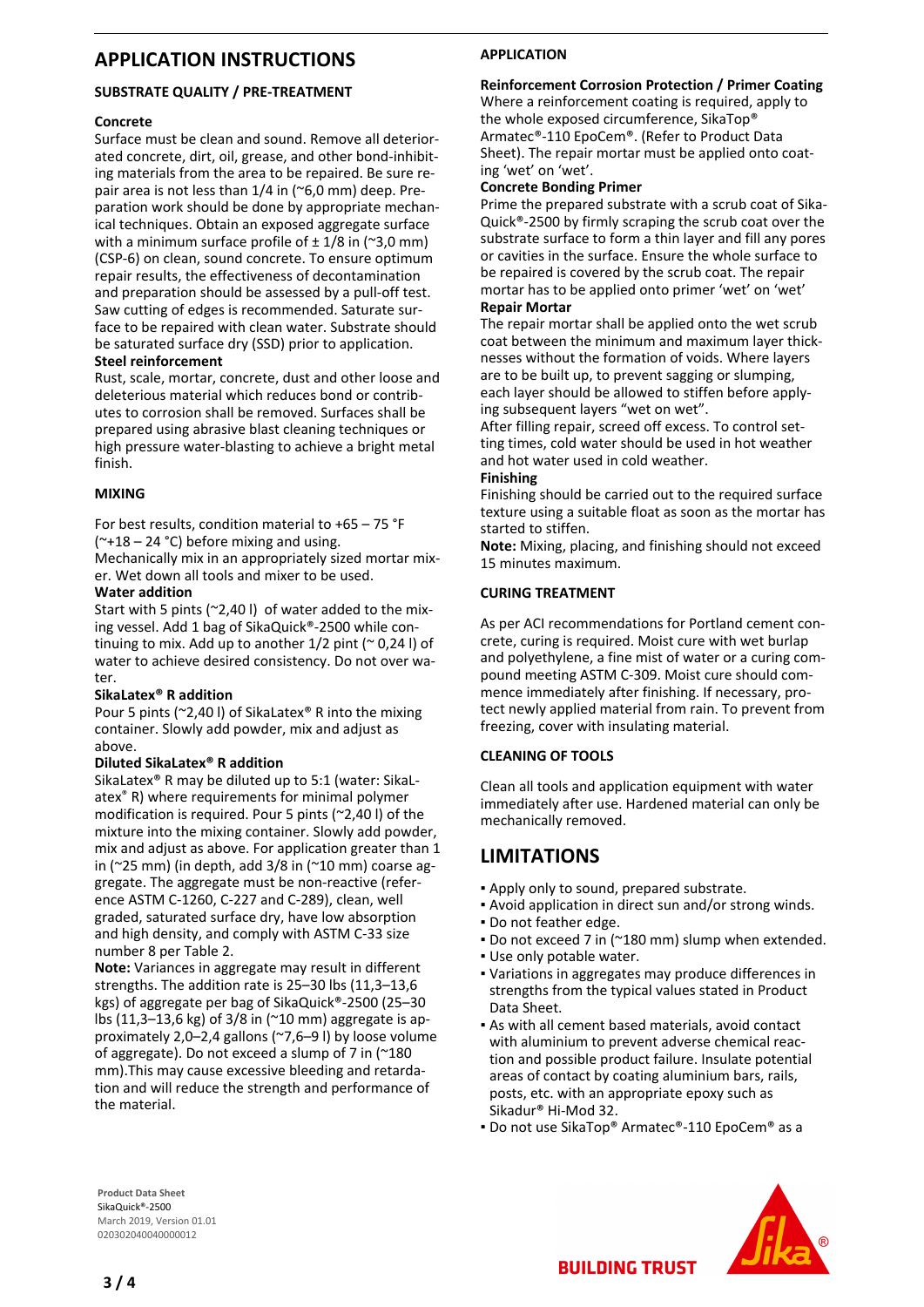## **APPLICATION INSTRUCTIONS**

#### **SUBSTRATE QUALITY / PRE-TREATMENT**

#### **Concrete**

Surface must be clean and sound. Remove all deteriorated concrete, dirt, oil, grease, and other bond-inhibiting materials from the area to be repaired. Be sure repair area is not less than 1/4 in (~6,0 mm) deep. Preparation work should be done by appropriate mechanical techniques. Obtain an exposed aggregate surface with a minimum surface profile of  $\pm$  1/8 in (~3,0 mm) (CSP-6) on clean, sound concrete. To ensure optimum repair results, the effectiveness of decontamination and preparation should be assessed by a pull-off test. Saw cutting of edges is recommended. Saturate surface to be repaired with clean water. Substrate should be saturated surface dry (SSD) prior to application. **Steel reinforcement**

Rust, scale, mortar, concrete, dust and other loose and deleterious material which reduces bond or contributes to corrosion shall be removed. Surfaces shall be prepared using abrasive blast cleaning techniques or high pressure water-blasting to achieve a bright metal finish.

#### **MIXING**

For best results, condition material to +65 – 75 °F  $(*+18 - 24 °C)$  before mixing and using.

Mechanically mix in an appropriately sized mortar mixer. Wet down all tools and mixer to be used.

#### **Water addition**

Start with 5 pints (~2,40 l) of water added to the mixing vessel. Add 1 bag of SikaQuick®-2500 while continuing to mix. Add up to another  $1/2$  pint ( $\sim$  0,24 l) of water to achieve desired consistency. Do not over water.

#### **SikaLatex® R addition**

Pour 5 pints (~2,40 l) of SikaLatex® R into the mixing container. Slowly add powder, mix and adjust as above.

#### **Diluted SikaLatex® R addition**

SikaLatex® R may be diluted up to 5:1 (water: SikaLatex® R) where requirements for minimal polymer modification is required. Pour 5 pints (~2,40 l) of the mixture into the mixing container. Slowly add powder, mix and adjust as above. For application greater than 1 in ( $\approx$ 25 mm) (in depth, add 3/8 in ( $\approx$ 10 mm) coarse aggregate. The aggregate must be non-reactive (reference ASTM C-1260, C-227 and C-289), clean, well graded, saturated surface dry, have low absorption and high density, and comply with ASTM C-33 size number 8 per Table 2.

**Note:** Variances in aggregate may result in different strengths. The addition rate is 25–30 lbs (11,3–13,6 kgs) of aggregate per bag of SikaQuick®-2500 (25–30 lbs (11,3–13,6 kg) of 3/8 in (~10 mm) aggregate is approximately 2,0–2,4 gallons (~7,6–9 l) by loose volume of aggregate). Do not exceed a slump of 7 in (~180 mm).This may cause excessive bleeding and retardation and will reduce the strength and performance of the material.

### **APPLICATION**

#### **Reinforcement Corrosion Protection / Primer Coating**

Where a reinforcement coating is required, apply to the whole exposed circumference, SikaTop® Armatec®-110 EpoCem®. (Refer to Product Data Sheet). The repair mortar must be applied onto coating 'wet' on 'wet'.

#### **Concrete Bonding Primer**

Prime the prepared substrate with a scrub coat of Sika-Quick®-2500 by firmly scraping the scrub coat over the substrate surface to form a thin layer and fill any pores or cavities in the surface. Ensure the whole surface to be repaired is covered by the scrub coat. The repair mortar has to be applied onto primer 'wet' on 'wet' **Repair Mortar**

The repair mortar shall be applied onto the wet scrub coat between the minimum and maximum layer thicknesses without the formation of voids. Where layers are to be built up, to prevent sagging or slumping, each layer should be allowed to stiffen before applying subsequent layers "wet on wet".

After filling repair, screed off excess. To control setting times, cold water should be used in hot weather and hot water used in cold weather.

#### **Finishing**

Finishing should be carried out to the required surface texture using a suitable float as soon as the mortar has started to stiffen.

**Note:** Mixing, placing, and finishing should not exceed 15 minutes maximum.

#### **CURING TREATMENT**

As per ACI recommendations for Portland cement concrete, curing is required. Moist cure with wet burlap and polyethylene, a fine mist of water or a curing compound meeting ASTM C-309. Moist cure should commence immediately after finishing. If necessary, protect newly applied material from rain. To prevent from freezing, cover with insulating material.

#### **CLEANING OF TOOLS**

Clean all tools and application equipment with water immediately after use. Hardened material can only be mechanically removed.

# **LIMITATIONS**

- Apply only to sound, prepared substrate.
- Avoid application in direct sun and/or strong winds.
- Do not feather edge.
- Do not exceed 7 in (~180 mm) slump when extended.
- Use only potable water. Variations in aggregates may produce differences in ▪ strengths from the typical values stated in Product Data Sheet.
- As with all cement based materials, avoid contact with aluminium to prevent adverse chemical reaction and possible product failure. Insulate potential areas of contact by coating aluminium bars, rails, posts, etc. with an appropriate epoxy such as Sikadur® Hi-Mod 32.
- Do not use SikaTop® Armatec®-110 EpoCem® as a

**Product Data Sheet** SikaQuick®-2500 March 2019, Version 01.01 020302040040000012



**BUILDING TRUST**